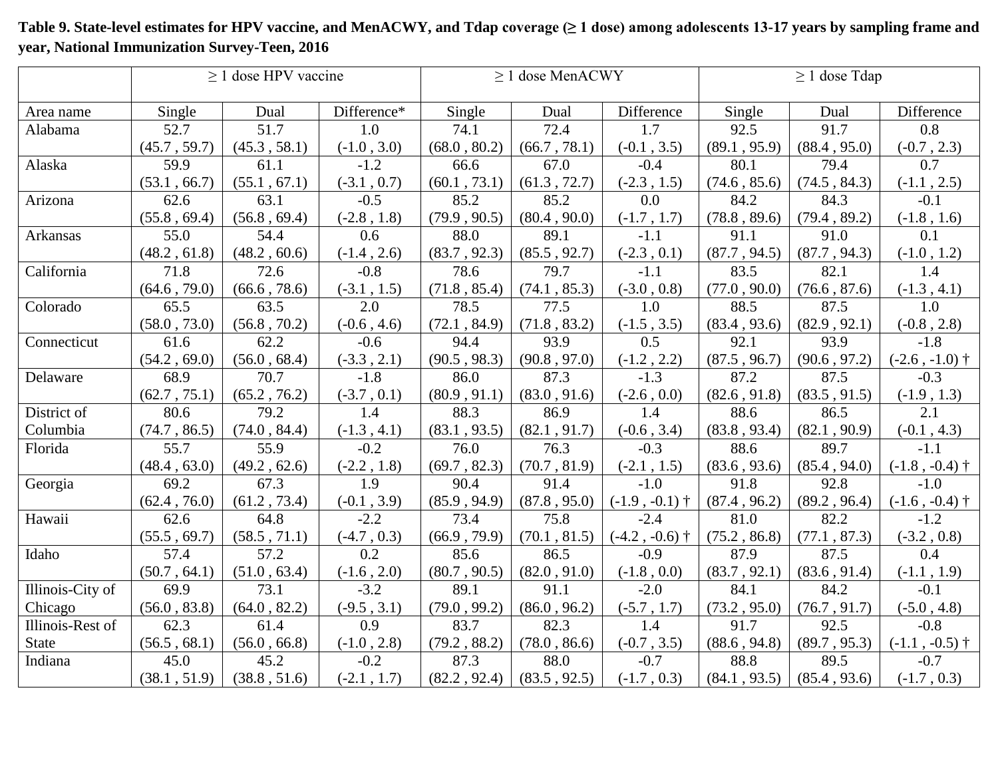|                  | $\geq$ 1 dose HPV vaccine |              |                  |              | $\geq$ 1 dose MenACWY        |                  | $\geq$ 1 dose Tdap |              |                  |
|------------------|---------------------------|--------------|------------------|--------------|------------------------------|------------------|--------------------|--------------|------------------|
| Area name        | Single                    | Dual         | Difference*      | Single       | Dual                         | Difference       | Single             | Dual         | Difference       |
| Alabama          | 52.7                      | 51.7         | 1.0              | 74.1         | 72.4                         | 1.7              | 92.5               | 91.7         | 0.8              |
|                  | (45.7, 59.7)              | (45.3, 58.1) | $(-1.0, 3.0)$    | (68.0, 80.2) | (66.7, 78.1)                 | $(-0.1, 3.5)$    | (89.1, 95.9)       | (88.4, 95.0) | $(-0.7, 2.3)$    |
| Alaska           | 59.9                      | 61.1         | $-1.2$           | 66.6         | 67.0                         | $-0.4$           | 80.1               | 79.4         | 0.7              |
|                  | (53.1, 66.7)              | (55.1, 67.1) | $(-3.1, 0.7)$    | (60.1, 73.1) | (61.3, 72.7)                 | $(-2.3, 1.5)$    | (74.6, 85.6)       | (74.5, 84.3) | $(-1.1, 2.5)$    |
| Arizona          | 62.6                      | 63.1         | $-0.5$           | 85.2         | 85.2                         | 0.0              | 84.2               | 84.3         | $-0.1$           |
|                  | (55.8, 69.4)              | (56.8, 69.4) | $(-2.8, 1.8)$    | (79.9, 90.5) | (80.4, 90.0)                 | $(-1.7, 1.7)$    | (78.8, 89.6)       | (79.4, 89.2) | $(-1.8, 1.6)$    |
| Arkansas         | 55.0                      | 54.4         | 0.6              | 88.0         | 89.1                         | $-1.1$           | 91.1               | 91.0         | 0.1              |
|                  | (48.2, 61.8)              | (48.2, 60.6) | $(-1.4, 2.6)$    | (83.7, 92.3) | (85.5, 92.7)                 | $(-2.3, 0.1)$    | (87.7, 94.5)       | (87.7, 94.3) | $(-1.0, 1.2)$    |
| California       | 71.8                      | 72.6         | $-0.8$           | 78.6         | 79.7                         | $-1.1$           | 83.5               | 82.1         | 1.4              |
|                  | (64.6, 79.0)              | (66.6, 78.6) | $(-3.1, 1.5)$    | (71.8, 85.4) | (74.1, 85.3)                 | $(-3.0, 0.8)$    | (77.0, 90.0)       | (76.6, 87.6) | $(-1.3, 4.1)$    |
| Colorado         | 65.5                      | 63.5         | 2.0              | 78.5         | 77.5                         | 1.0              | 88.5               | 87.5         | 1.0              |
|                  | (58.0, 73.0)              | (56.8, 70.2) | $(-0.6, 4.6)$    | (72.1, 84.9) | (71.8, 83.2)                 | $(-1.5, 3.5)$    | (83.4, 93.6)       | (82.9, 92.1) | $(-0.8, 2.8)$    |
| Connecticut      | 61.6                      | 62.2         | $-0.6$           | 94.4         | 93.9                         | 0.5              | 92.1               | 93.9         | $-1.8$           |
|                  | (54.2, 69.0)              | (56.0, 68.4) | $(-3.3, 2.1)$    | (90.5, 98.3) | (90.8, 97.0)                 | $(-1.2, 2.2)$    | (87.5, 96.7)       | (90.6, 97.2) | $(-2.6, -1.0)$ † |
| Delaware         | 68.9                      | 70.7         | $-1.8$           | 86.0         | 87.3                         | $-1.3$           | 87.2               | 87.5         | $-0.3$           |
|                  | (62.7, 75.1)              | (65.2, 76.2) | $(-3.7, 0.1)$    | (80.9, 91.1) | (83.0, 91.6)                 | $(-2.6, 0.0)$    | (82.6, 91.8)       | (83.5, 91.5) | $(-1.9, 1.3)$    |
| District of      | 80.6                      | 79.2         | 1.4              | 88.3         | 86.9                         | 1.4              | 88.6               | 86.5         | 2.1              |
| Columbia         | (74.7, 86.5)              | (74.0, 84.4) | $(-1.3, 4.1)$    | (83.1, 93.5) | (82.1, 91.7)                 | $(-0.6, 3.4)$    | (83.8, 93.4)       | (82.1, 90.9) | $(-0.1, 4.3)$    |
| Florida          | 55.7                      | 55.9         | $-0.2$           | 76.0         | 76.3                         | $-0.3$           | 88.6               | 89.7         | $-1.1$           |
|                  | (48.4, 63.0)              | (49.2, 62.6) | $(-2.2, 1.8)$    | (69.7, 82.3) | (70.7, 81.9)                 | $(-2.1, 1.5)$    | (83.6, 93.6)       | (85.4, 94.0) | $(-1.8, -0.4)$ † |
| Georgia          | 69.2                      | 67.3         | 1.9              | 90.4         | 91.4                         | $-1.0$           | 91.8               | 92.8         | $-1.0$           |
|                  | (62.4, 76.0)              | (61.2, 73.4) | $(-0.1, 3.9)$    | (85.9, 94.9) | (87.8, 95.0)                 | $(-1.9, -0.1)$ † | (87.4, 96.2)       | (89.2, 96.4) | $(-1.6, -0.4)$ † |
| Hawaii           | 62.6                      | 64.8         | $-2.2$           | 73.4         | 75.8                         | $-2.4$           | 81.0               | 82.2         | $-1.2$           |
|                  | (55.5, 69.7)              | (58.5, 71.1) | $(-4.7, 0.3)$    | (66.9, 79.9) | (70.1, 81.5)                 | $(-4.2, -0.6)$ † | (75.2, 86.8)       | (77.1, 87.3) | $(-3.2, 0.8)$    |
| Idaho            | 57.4                      | 57.2         | 0.2              | 85.6         | 86.5                         | $-0.9$           | 87.9               | 87.5         | 0.4              |
|                  | (50.7, 64.1)              | (51.0, 63.4) | $(-1.6, 2.0)$    | (80.7, 90.5) | $(82.0\,,\,91.0)$            | $(-1.8, 0.0)$    | (83.7, 92.1)       | (83.6, 91.4) | $(-1.1, 1.9)$    |
| Illinois-City of | 69.9                      | 73.1         | $-3.2$           | 89.1         | 91.1                         | $-2.0$           | 84.1               | 84.2         | $-0.1$           |
| Chicago          | (56.0, 83.8)              | (64.0, 82.2) | $(-9.5, 3.1)$    | (79.0, 99.2) | (86.0, 96.2)                 | $(-5.7, 1.7)$    | (73.2, 95.0)       | (76.7, 91.7) | $(-5.0\;,\,4.8)$ |
| Illinois-Rest of | 62.3                      | 61.4         | $\overline{0.9}$ | 83.7         | 82.3                         | 1.4              | 91.7               | 92.5         | $-0.8$           |
| State            | (56.5, 68.1)              | (56.0, 66.8) | $(-1.0, 2.8)$    | (79.2, 88.2) | $\left(78.0\;,\,86.6\right)$ | $(-0.7, 3.5)$    | (88.6, 94.8)       | (89.7, 95.3) | $(-1.1, -0.5)$ † |
| Indiana          | 45.0                      | 45.2         | $-0.2$           | 87.3         | 88.0                         | $-0.7$           | 88.8               | 89.5         | $-0.7$           |
|                  | (38.1, 51.9)              | (38.8, 51.6) | $(-2.1, 1.7)$    | (82.2, 92.4) | (83.5, 92.5)                 | $(-1.7, 0.3)$    | (84.1, 93.5)       | (85.4, 93.6) | $(-1.7, 0.3)$    |

## **Table 9. State-level estimates for HPV vaccine, and MenACWY, and Tdap coverage (≥ 1 dose) among adolescents 13-17 years by sampling frame and year, National Immunization Survey-Teen, 2016**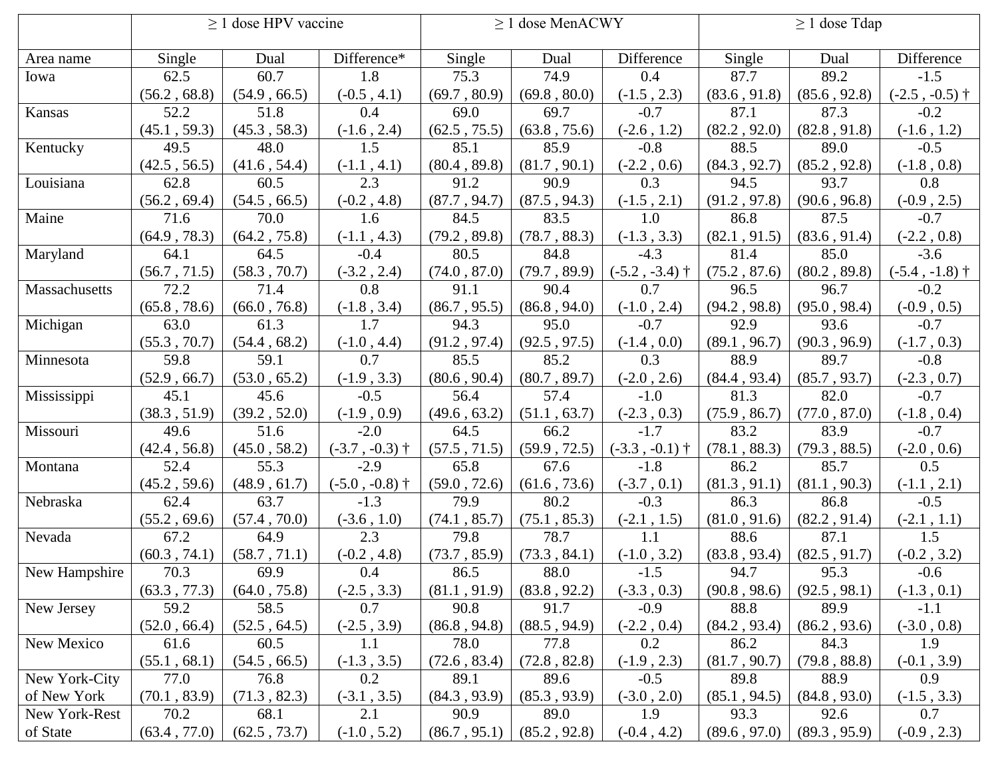|               | $\geq$ 1 dose HPV vaccine |              |                  | $\geq$ 1 dose MenACWY |              |                  | $\geq$ 1 dose Tdap |              |                  |
|---------------|---------------------------|--------------|------------------|-----------------------|--------------|------------------|--------------------|--------------|------------------|
| Area name     | Single                    | Dual         | Difference*      | Single                | Dual         | Difference       | Single             | Dual         | Difference       |
| Iowa          | 62.5                      | 60.7         | 1.8              | 75.3                  | 74.9         | 0.4              | 87.7               | 89.2         | $-1.5$           |
|               | (56.2, 68.8)              | (54.9, 66.5) | $(-0.5, 4.1)$    | (69.7, 80.9)          | (69.8, 80.0) | $(-1.5, 2.3)$    | (83.6, 91.8)       | (85.6, 92.8) | $(-2.5, -0.5)$ † |
| Kansas        | 52.2                      | 51.8         | 0.4              | 69.0                  | 69.7         | $-0.7$           | 87.1               | 87.3         | $-0.2$           |
|               | (45.1, 59.3)              | (45.3, 58.3) | $(-1.6, 2.4)$    | (62.5, 75.5)          | (63.8, 75.6) | $(-2.6, 1.2)$    | (82.2, 92.0)       | (82.8, 91.8) | $(-1.6, 1.2)$    |
| Kentucky      | 49.5                      | 48.0         | 1.5              | 85.1                  | 85.9         | $-0.8$           | 88.5               | 89.0         | $-0.5$           |
|               | (42.5, 56.5)              | (41.6, 54.4) | $(-1.1, 4.1)$    | (80.4, 89.8)          | (81.7, 90.1) | $(-2.2, 0.6)$    | (84.3, 92.7)       | (85.2, 92.8) | $(-1.8, 0.8)$    |
| Louisiana     | 62.8                      | 60.5         | 2.3              | 91.2                  | 90.9         | 0.3              | 94.5               | 93.7         | 0.8              |
|               | (56.2, 69.4)              | (54.5, 66.5) | $(-0.2, 4.8)$    | (87.7, 94.7)          | (87.5, 94.3) | $(-1.5, 2.1)$    | (91.2, 97.8)       | (90.6, 96.8) | $(-0.9, 2.5)$    |
| Maine         | 71.6                      | 70.0         | 1.6              | 84.5                  | 83.5         | 1.0              | 86.8               | 87.5         | $-0.7$           |
|               | (64.9, 78.3)              | (64.2, 75.8) | $(-1.1, 4.3)$    | (79.2, 89.8)          | (78.7, 88.3) | $(-1.3, 3.3)$    | (82.1, 91.5)       | (83.6, 91.4) | $(-2.2, 0.8)$    |
| Maryland      | 64.1                      | 64.5         | $-0.4$           | 80.5                  | 84.8         | $-4.3$           | 81.4               | 85.0         | $-3.6$           |
|               | (56.7, 71.5)              | (58.3, 70.7) | $(-3.2, 2.4)$    | (74.0, 87.0)          | (79.7, 89.9) | $(-5.2, -3.4)$ † | (75.2, 87.6)       | (80.2, 89.8) | $(-5.4, -1.8)$ † |
| Massachusetts | 72.2                      | 71.4         | 0.8              | 91.1                  | 90.4         | 0.7              | 96.5               | 96.7         | $-0.2$           |
|               | (65.8, 78.6)              | (66.0, 76.8) | $(-1.8, 3.4)$    | (86.7, 95.5)          | (86.8, 94.0) | $(-1.0, 2.4)$    | (94.2, 98.8)       | (95.0, 98.4) | $(-0.9, 0.5)$    |
| Michigan      | 63.0                      | 61.3         | 1.7              | 94.3                  | 95.0         | $-0.7$           | 92.9               | 93.6         | $-0.7$           |
|               | (55.3, 70.7)              | (54.4, 68.2) | $(-1.0, 4.4)$    | (91.2, 97.4)          | (92.5, 97.5) | $(-1.4, 0.0)$    | (89.1, 96.7)       | (90.3, 96.9) | $(-1.7, 0.3)$    |
| Minnesota     | 59.8                      | 59.1         | 0.7              | 85.5                  | 85.2         | 0.3              | 88.9               | 89.7         | $-0.8$           |
|               | (52.9, 66.7)              | (53.0, 65.2) | $(-1.9, 3.3)$    | (80.6, 90.4)          | (80.7, 89.7) | $(-2.0, 2.6)$    | (84.4, 93.4)       | (85.7, 93.7) | $(-2.3, 0.7)$    |
| Mississippi   | 45.1                      | 45.6         | $-0.5$           | 56.4                  | 57.4         | $-1.0$           | 81.3               | 82.0         | $-0.7$           |
|               | (38.3, 51.9)              | (39.2, 52.0) | $(-1.9, 0.9)$    | (49.6, 63.2)          | (51.1, 63.7) | $(-2.3, 0.3)$    | (75.9, 86.7)       | (77.0, 87.0) | $(-1.8, 0.4)$    |
| Missouri      | 49.6                      | 51.6         | $-2.0$           | 64.5                  | 66.2         | $-1.7$           | 83.2               | 83.9         | $-0.7$           |
|               | (42.4, 56.8)              | (45.0, 58.2) | $(-3.7, -0.3)$ † | (57.5, 71.5)          | (59.9, 72.5) | $(-3.3, -0.1)$ † | (78.1, 88.3)       | (79.3, 88.5) | $(-2.0, 0.6)$    |
| Montana       | 52.4                      | 55.3         | $-2.9$           | 65.8                  | 67.6         | $-1.8$           | 86.2               | 85.7         | 0.5              |
|               | (45.2, 59.6)              | (48.9, 61.7) | $(-5.0, -0.8)$ † | (59.0, 72.6)          | (61.6, 73.6) | $(-3.7, 0.1)$    | (81.3, 91.1)       | (81.1, 90.3) | $(-1.1, 2.1)$    |
| Nebraska      | 62.4                      | 63.7         | $-1.3$           | 79.9                  | 80.2         | $-0.3$           | 86.3               | 86.8         | $-0.5$           |
|               | (55.2, 69.6)              | (57.4, 70.0) | $(-3.6, 1.0)$    | (74.1, 85.7)          | (75.1, 85.3) | $(-2.1, 1.5)$    | (81.0, 91.6)       | (82.2, 91.4) | $(-2.1, 1.1)$    |
| Nevada        | 67.2                      | 64.9         | 2.3              | 79.8                  | 78.7         | 1.1              | 88.6               | 87.1         | 1.5              |
|               | (60.3, 74.1)              | (58.7, 71.1) | $(-0.2, 4.8)$    | (73.7, 85.9)          | (73.3, 84.1) | $(-1.0, 3.2)$    | (83.8, 93.4)       | (82.5, 91.7) | $(-0.2, 3.2)$    |
| New Hampshire | 70.3                      | 69.9         | 0.4              | 86.5                  | 88.0         | $-1.5$           | 94.7               | 95.3         | $-0.6$           |
|               | (63.3, 77.3)              | (64.0, 75.8) | $(-2.5, 3.3)$    | (81.1, 91.9)          | (83.8, 92.2) | $(-3.3, 0.3)$    | (90.8, 98.6)       | (92.5, 98.1) | $(-1.3, 0.1)$    |
| New Jersey    | 59.2                      | 58.5         | 0.7              | 90.8                  | 91.7         | $-0.9$           | 88.8               | 89.9         | $-1.1$           |
|               | (52.0, 66.4)              | (52.5, 64.5) | $(-2.5, 3.9)$    | (86.8, 94.8)          | (88.5, 94.9) | $(-2.2, 0.4)$    | (84.2, 93.4)       | (86.2, 93.6) | $(-3.0, 0.8)$    |
| New Mexico    | 61.6                      | 60.5         | 1.1              | 78.0                  | 77.8         | 0.2              | 86.2               | 84.3         | 1.9              |
|               | (55.1, 68.1)              | (54.5, 66.5) | $(-1.3, 3.5)$    | (72.6, 83.4)          | (72.8, 82.8) | $(-1.9, 2.3)$    | (81.7, 90.7)       | (79.8, 88.8) | $(-0.1, 3.9)$    |
| New York-City | 77.0                      | 76.8         | 0.2              | 89.1                  | 89.6         | $-0.5$           | 89.8               | 88.9         | 0.9              |
| of New York   | (70.1, 83.9)              | (71.3, 82.3) | $(-3.1, 3.5)$    | (84.3, 93.9)          | (85.3, 93.9) | $(-3.0, 2.0)$    | (85.1, 94.5)       | (84.8, 93.0) | $(-1.5, 3.3)$    |
| New York-Rest | 70.2                      | 68.1         | 2.1              | 90.9                  | 89.0         | 1.9              | 93.3               | 92.6         | 0.7              |
| of State      | (63.4, 77.0)              | (62.5, 73.7) | $(-1.0, 5.2)$    | (86.7, 95.1)          | (85.2, 92.8) | $(-0.4, 4.2)$    | (89.6, 97.0)       | (89.3, 95.9) | $(-0.9, 2.3)$    |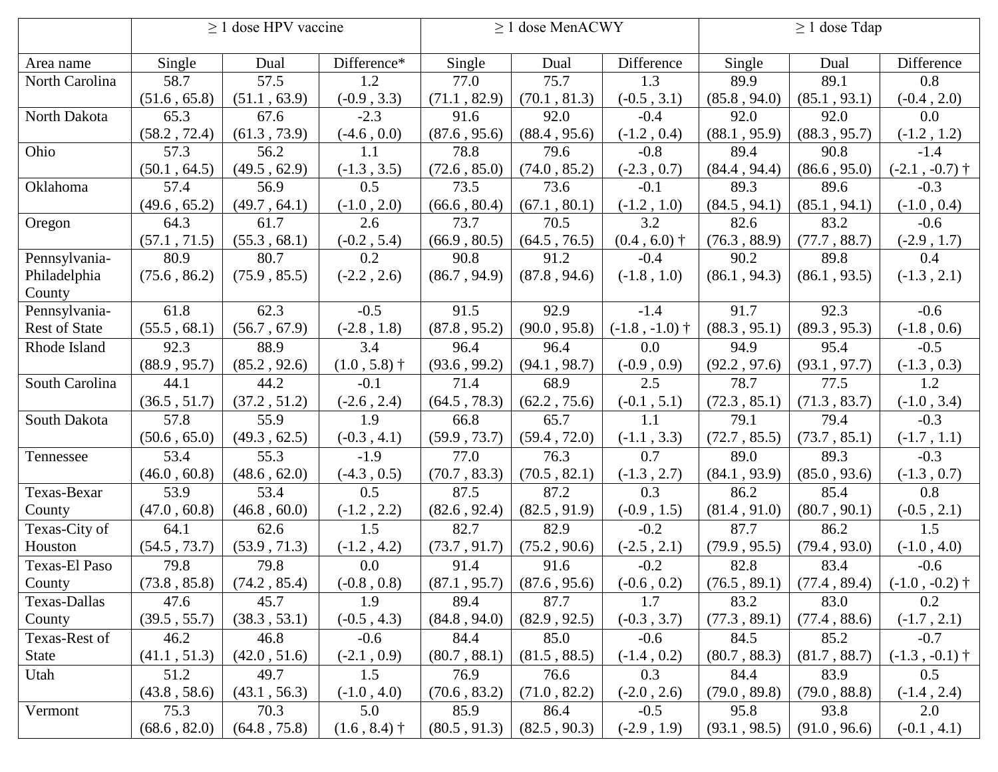|                      | > 1 dose HPV vaccine |              |                | $\geq$ 1 dose MenACWY |              |                  | $\geq 1$ dose Tdap |              |                  |
|----------------------|----------------------|--------------|----------------|-----------------------|--------------|------------------|--------------------|--------------|------------------|
| Area name            | Single               | Dual         | Difference*    | Single                | Dual         | Difference       | Single             | Dual         | Difference       |
| North Carolina       | 58.7                 | 57.5         | 1.2            | 77.0                  | 75.7         | 1.3              | 89.9               | 89.1         | 0.8              |
|                      | (51.6, 65.8)         | (51.1, 63.9) | $(-0.9, 3.3)$  | (71.1, 82.9)          | (70.1, 81.3) | $(-0.5, 3.1)$    | (85.8, 94.0)       | (85.1, 93.1) | $(-0.4, 2.0)$    |
| North Dakota         | 65.3                 | 67.6         | $-2.3$         | 91.6                  | 92.0         | $-0.4$           | 92.0               | 92.0         | 0.0              |
|                      | (58.2, 72.4)         | (61.3, 73.9) | $(-4.6, 0.0)$  | (87.6, 95.6)          | (88.4, 95.6) | $(-1.2, 0.4)$    | (88.1, 95.9)       | (88.3, 95.7) | $(-1.2, 1.2)$    |
| Ohio                 | 57.3                 | 56.2         | 1.1            | 78.8                  | 79.6         | $-0.8$           | 89.4               | 90.8         | $-1.4$           |
|                      | (50.1, 64.5)         | (49.5, 62.9) | $(-1.3, 3.5)$  | (72.6, 85.0)          | (74.0, 85.2) | $(-2.3, 0.7)$    | (84.4, 94.4)       | (86.6, 95.0) | $(-2.1, -0.7)$ † |
| Oklahoma             | 57.4                 | 56.9         | 0.5            | 73.5                  | 73.6         | $-0.1$           | 89.3               | 89.6         | $-0.3$           |
|                      | (49.6, 65.2)         | (49.7, 64.1) | $(-1.0, 2.0)$  | (66.6, 80.4)          | (67.1, 80.1) | $(-1.2, 1.0)$    | (84.5, 94.1)       | (85.1, 94.1) | $(-1.0, 0.4)$    |
| Oregon               | 64.3                 | 61.7         | 2.6            | 73.7                  | 70.5         | 3.2              | 82.6               | 83.2         | $-0.6$           |
|                      | (57.1, 71.5)         | (55.3, 68.1) | $(-0.2, 5.4)$  | (66.9, 80.5)          | (64.5, 76.5) | $(0.4, 6.0)$ †   | (76.3, 88.9)       | (77.7, 88.7) | $(-2.9, 1.7)$    |
| Pennsylvania-        | 80.9                 | 80.7         | 0.2            | 90.8                  | 91.2         | $-0.4$           | 90.2               | 89.8         | 0.4              |
| Philadelphia         | (75.6, 86.2)         | (75.9, 85.5) | $(-2.2, 2.6)$  | (86.7, 94.9)          | (87.8, 94.6) | $(-1.8, 1.0)$    | (86.1, 94.3)       | (86.1, 93.5) | $(-1.3, 2.1)$    |
| County               |                      |              |                |                       |              |                  |                    |              |                  |
| Pennsylvania-        | 61.8                 | 62.3         | $-0.5$         | 91.5                  | 92.9         | $-1.4$           | 91.7               | 92.3         | $-0.6$           |
| <b>Rest of State</b> | (55.5, 68.1)         | (56.7, 67.9) | $(-2.8, 1.8)$  | (87.8, 95.2)          | (90.0, 95.8) | $(-1.8, -1.0)$ † | (88.3, 95.1)       | (89.3, 95.3) | $(-1.8, 0.6)$    |
| Rhode Island         | 92.3                 | 88.9         | 3.4            | 96.4                  | 96.4         | 0.0              | 94.9               | 95.4         | $-0.5$           |
|                      | (88.9, 95.7)         | (85.2, 92.6) | $(1.0, 5.8)$ † | (93.6, 99.2)          | (94.1, 98.7) | $(-0.9, 0.9)$    | (92.2, 97.6)       | (93.1, 97.7) | $(-1.3, 0.3)$    |
| South Carolina       | 44.1                 | 44.2         | $-0.1$         | 71.4                  | 68.9         | 2.5              | 78.7               | 77.5         | 1.2              |
|                      | (36.5, 51.7)         | (37.2, 51.2) | $(-2.6, 2.4)$  | (64.5, 78.3)          | (62.2, 75.6) | $(-0.1, 5.1)$    | (72.3, 85.1)       | (71.3, 83.7) | $(-1.0, 3.4)$    |
| South Dakota         | 57.8                 | 55.9         | 1.9            | 66.8                  | 65.7         | 1.1              | 79.1               | 79.4         | $-0.3$           |
|                      | (50.6, 65.0)         | (49.3, 62.5) | $(-0.3, 4.1)$  | (59.9, 73.7)          | (59.4, 72.0) | $(-1.1, 3.3)$    | (72.7, 85.5)       | (73.7, 85.1) | $(-1.7, 1.1)$    |
| Tennessee            | 53.4                 | 55.3         | $-1.9$         | 77.0                  | 76.3         | 0.7              | 89.0               | 89.3         | $-0.3$           |
|                      | (46.0, 60.8)         | (48.6, 62.0) | $(-4.3, 0.5)$  | (70.7, 83.3)          | (70.5, 82.1) | $(-1.3, 2.7)$    | (84.1, 93.9)       | (85.0, 93.6) | $(-1.3, 0.7)$    |
| Texas-Bexar          | 53.9                 | 53.4         | 0.5            | 87.5                  | 87.2         | 0.3              | 86.2               | 85.4         | 0.8              |
| County               | (47.0, 60.8)         | (46.8, 60.0) | $(-1.2, 2.2)$  | (82.6, 92.4)          | (82.5, 91.9) | $(-0.9, 1.5)$    | (81.4, 91.0)       | (80.7, 90.1) | $(-0.5, 2.1)$    |
| Texas-City of        | 64.1                 | 62.6         | 1.5            | 82.7                  | 82.9         | $-0.2$           | 87.7               | 86.2         | 1.5              |
| Houston              | (54.5, 73.7)         | (53.9, 71.3) | $(-1.2, 4.2)$  | (73.7, 91.7)          | (75.2, 90.6) | $(-2.5, 2.1)$    | (79.9, 95.5)       | (79.4, 93.0) | $(-1.0, 4.0)$    |
| Texas-El Paso        | 79.8                 | 79.8         | 0.0            | 91.4                  | 91.6         | $-0.2$           | 82.8               | 83.4         | $-0.6$           |
| County               | (73.8, 85.8)         | (74.2, 85.4) | $(-0.8\;,0.8)$ | (87.1, 95.7)          | (87.6, 95.6) | $(-0.6, 0.2)$    | (76.5, 89.1)       | (77.4, 89.4) | $(-1.0, -0.2)$ † |
| Texas-Dallas         | 47.6                 | 45.7         | 1.9            | 89.4                  | 87.7         | 1.7              | 83.2               | 83.0         | 0.2              |
| County               | (39.5, 55.7)         | (38.3, 53.1) | $(-0.5, 4.3)$  | (84.8, 94.0)          | (82.9, 92.5) | $(-0.3, 3.7)$    | (77.3, 89.1)       | (77.4, 88.6) | $(-1.7, 2.1)$    |
| Texas-Rest of        | 46.2                 | 46.8         | $-0.6$         | 84.4                  | 85.0         | $-0.6$           | 84.5               | 85.2         | $-0.7$           |
| <b>State</b>         | (41.1, 51.3)         | (42.0, 51.6) | $(-2.1, 0.9)$  | (80.7, 88.1)          | (81.5, 88.5) | $(-1.4, 0.2)$    | (80.7, 88.3)       | (81.7, 88.7) | $(-1.3, -0.1)$ † |
| Utah                 | 51.2                 | 49.7         | 1.5            | 76.9                  | 76.6         | 0.3              | 84.4               | 83.9         | 0.5              |
|                      | (43.8, 58.6)         | (43.1, 56.3) | $(-1.0, 4.0)$  | (70.6, 83.2)          | (71.0, 82.2) | $(-2.0, 2.6)$    | (79.0, 89.8)       | (79.0, 88.8) | $(-1.4, 2.4)$    |
| Vermont              | 75.3                 | 70.3         | 5.0            | 85.9                  | 86.4         | $-0.5$           | 95.8               | 93.8         | 2.0              |
|                      | (68.6, 82.0)         | (64.8, 75.8) | $(1.6, 8.4)$ † | (80.5, 91.3)          | (82.5, 90.3) | $(-2.9, 1.9)$    | (93.1, 98.5)       | (91.0, 96.6) | $(-0.1, 4.1)$    |